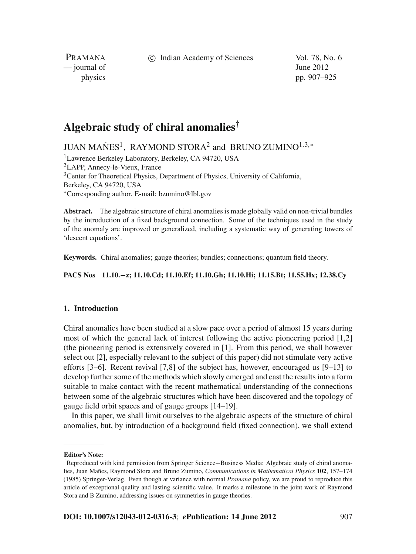c Indian Academy of Sciences Vol. 78, No. 6

PRAMANA  $\frac{1}{2}$  journal of June 2012

physics pp. 907–925

# **Algebraic study of chiral anomalies**†

JUAN MAÑES<sup>1</sup>, RAYMOND STORA<sup>2</sup> and BRUNO ZUMINO<sup>1,3,∗</sup>

1Lawrence Berkeley Laboratory, Berkeley, CA 94720, USA 2LAPP, Annecy-le-Vieux, France <sup>3</sup>Center for Theoretical Physics, Department of Physics, University of California, Berkeley, CA 94720, USA <sup>∗</sup>Corresponding author. E-mail: bzumino@lbl.gov

**Abstract.** The algebraic structure of chiral anomalies is made globally valid on non-trivial bundles by the introduction of a fixed background connection. Some of the techniques used in the study of the anomaly are improved or generalized, including a systematic way of generating towers of 'descent equations'.

**Keywords.** Chiral anomalies; gauge theories; bundles; connections; quantum field theory.

**PACS Nos 11.10.−z; 11.10.Cd; 11.10.Ef; 11.10.Gh; 11.10.Hi; 11.15.Bt; 11.55.Hx; 12.38.Cy**

## **1. Introduction**

Chiral anomalies have been studied at a slow pace over a period of almost 15 years during most of which the general lack of interest following the active pioneering period [1,2] (the pioneering period is extensively covered in [1]. From this period, we shall however select out [2], especially relevant to the subject of this paper) did not stimulate very active efforts [3–6]. Recent revival [7,8] of the subject has, however, encouraged us [9–13] to develop further some of the methods which slowly emerged and cast the results into a form suitable to make contact with the recent mathematical understanding of the connections between some of the algebraic structures which have been discovered and the topology of gauge field orbit spaces and of gauge groups [14–19].

In this paper, we shall limit ourselves to the algebraic aspects of the structure of chiral anomalies, but, by introduction of a background field (fixed connection), we shall extend

**Editor's Note:**

<sup>†</sup>Reproduced with kind permission from Springer Science+Business Media: Algebraic study of chiral anomalies, Juan Mañes, Raymond Stora and Bruno Zumino, *Communications in Mathematical Physics* **102**, 157–174 (1985) Springer-Verlag. Even though at variance with normal *Pramana* policy, we are proud to reproduce this article of exceptional quality and lasting scientific value. It marks a milestone in the joint work of Raymond Stora and B Zumino, addressing issues on symmetries in gauge theories.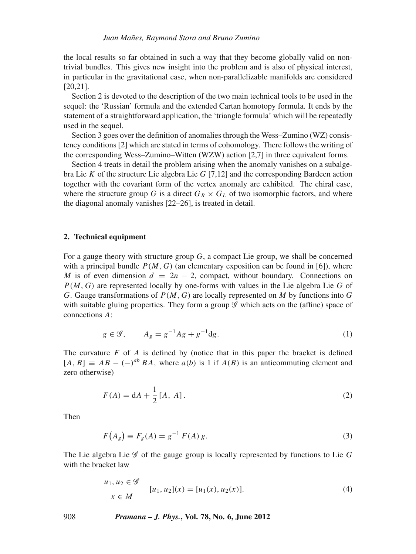the local results so far obtained in such a way that they become globally valid on nontrivial bundles. This gives new insight into the problem and is also of physical interest, in particular in the gravitational case, when non-parallelizable manifolds are considered [20,21].

Section 2 is devoted to the description of the two main technical tools to be used in the sequel: the 'Russian' formula and the extended Cartan homotopy formula. It ends by the statement of a straightforward application, the 'triangle formula' which will be repeatedly used in the sequel.

Section 3 goes over the definition of anomalies through the Wess–Zumino (WZ) consistency conditions [2] which are stated in terms of cohomology. There follows the writing of the corresponding Wess–Zumino–Witten (WZW) action [2,7] in three equivalent forms.

Section 4 treats in detail the problem arising when the anomaly vanishes on a subalgebra Lie *K* of the structure Lie algebra Lie *G* [7,12] and the corresponding Bardeen action together with the covariant form of the vertex anomaly are exhibited. The chiral case, where the structure group *G* is a direct  $G_R \times G_L$  of two isomorphic factors, and where the diagonal anomaly vanishes [22–26], is treated in detail.

## **2. Technical equipment**

For a gauge theory with structure group *G*, a compact Lie group, we shall be concerned with a principal bundle  $P(M, G)$  (an elementary exposition can be found in [6]), where *M* is of even dimension  $d = 2n - 2$ , compact, without boundary. Connections on *P*(*M*, *G*) are represented locally by one-forms with values in the Lie algebra Lie *G* of *G*. Gauge transformations of *P*(*M*, *G*) are locally represented on *M* by functions into *G* with suitable gluing properties. They form a group  $\mathscr G$  which acts on the (affine) space of connections *A*:

$$
g \in \mathcal{G}, \qquad A_g = g^{-1} A g + g^{-1} dg. \tag{1}
$$

The curvature *F* of *A* is defined by (notice that in this paper the bracket is defined  $[A, B] \equiv AB - (-)^{ab} BA$ , where  $a(b)$  is 1 if  $A(B)$  is an anticommuting element and zero otherwise)

$$
F(A) = dA + \frac{1}{2} [A, A].
$$
 (2)

Then

$$
F(A_g) \equiv F_g(A) = g^{-1} F(A) g.
$$
 (3)

The Lie algebra Lie G of the gauge group is locally represented by functions to Lie *G* with the bracket law

$$
u_1, u_2 \in \mathcal{G}
$$
  
\n
$$
u_1, u_2](x) = [u_1(x), u_2(x)].
$$
\n(4)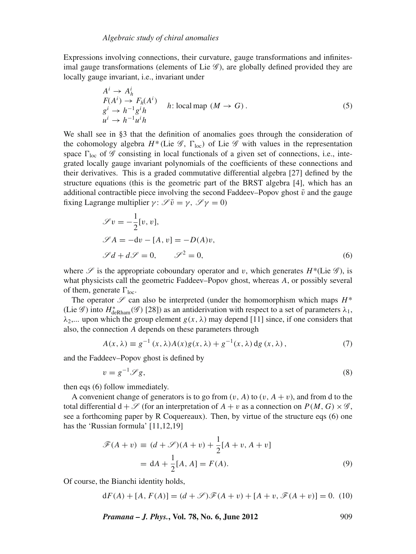Expressions involving connections, their curvature, gauge transformations and infinitesimal gauge transformations (elements of Lie  $\mathscr{G}$ ), are globally defined provided they are locally gauge invariant, i.e., invariant under

$$
A^{i} \rightarrow A^{i}_{h}
$$
  
\n
$$
F(A^{i}) \rightarrow F_{h}(A^{i})
$$
  
\n
$$
g^{i} \rightarrow h^{-1}g^{i}h
$$
  
\n
$$
u^{i} \rightarrow h^{-1}u^{i}h
$$
  
\n(5)

We shall see in §3 that the definition of anomalies goes through the consideration of the cohomology algebra  $H^*$  (Lie  $\mathscr{G}$ ,  $\Gamma_{\text{loc}}$ ) of Lie  $\mathscr{G}$  with values in the representation space  $\Gamma_{\text{loc}}$  of  $\mathscr G$  consisting in local functionals of a given set of connections, i.e., integrated locally gauge invariant polynomials of the coefficients of these connections and their derivatives. This is a graded commutative differential algebra [27] defined by the structure equations (this is the geometric part of the BRST algebra [4], which has an additional contractible piece involving the second Faddeev–Popov ghost  $\bar{v}$  and the gauge fixing Lagrange multiplier  $\gamma: \mathscr{I}\bar{v} = \gamma, \mathscr{I}\gamma = 0$ )

$$
\mathcal{S}v = -\frac{1}{2}[v, v],
$$
  
\n
$$
\mathcal{S}A = -dv - [A, v] = -D(A)v,
$$
  
\n
$$
\mathcal{S}d + d\mathcal{S} = 0, \qquad \mathcal{S}^2 = 0,
$$
\n(6)

where  $\mathscr S$  is the appropriate coboundary operator and v, which generates  $H^*(\text{Lie }\mathscr G)$ , is what physicists call the geometric Faddeev–Popov ghost, whereas *A*, or possibly several of them, generate  $\Gamma_{\text{loc}}$ .

The operator  $\mathscr S$  can also be interpreted (under the homomorphism which maps  $H^*$ (Lie  $\mathscr{G}$ ) into  $H^*_{\text{deRham}}(\mathscr{G})$  [28]) as an antiderivation with respect to a set of parameters  $\lambda_1$ ,  $\lambda_2$ .... upon which the group element *g*(*x*,  $\lambda$ ) may depend [11] since, if one considers that also, the connection *A* depends on these parameters through

$$
A(x,\lambda) \equiv g^{-1}(x,\lambda)A(x)g(x,\lambda) + g^{-1}(x,\lambda) \,dg(x,\lambda),\tag{7}
$$

and the Faddeev–Popov ghost is defined by

$$
v = g^{-1} \mathscr{S} g,\tag{8}
$$

then eqs (6) follow immediately.

A convenient change of generators is to go from  $(v, A)$  to  $(v, A + v)$ , and from d to the total differential  $d + \mathscr{S}$  (for an interpretation of  $A + v$  as a connection on  $P(M, G) \times \mathscr{G}$ , see a forthcoming paper by R Coquereaux). Then, by virtue of the structure eqs (6) one has the 'Russian formula' [11,12,19]

$$
\mathcal{F}(A+v) \equiv (d+\mathcal{S})(A+v) + \frac{1}{2}[A+v, A+v]
$$

$$
= dA + \frac{1}{2}[A, A] = F(A).
$$
(9)

Of course, the Bianchi identity holds,

$$
dF(A) + [A, F(A)] = (d + \mathcal{S})\mathcal{F}(A + v) + [A + v, \mathcal{F}(A + v)] = 0.
$$
 (10)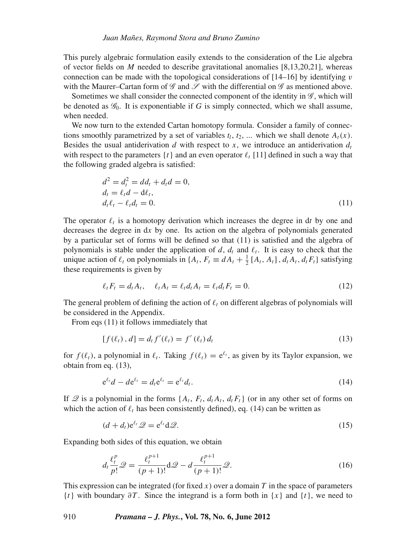This purely algebraic formulation easily extends to the consideration of the Lie algebra of vector fields on *M* needed to describe gravitational anomalies [8,13,20,21], whereas connection can be made with the topological considerations of  $[14–16]$  by identifying v with the Maurer–Cartan form of  $\mathscr G$  and  $\mathscr S$  with the differential on  $\mathscr G$  as mentioned above.

Sometimes we shall consider the connected component of the identity in  $\mathscr{G}$ , which will be denoted as  $\mathscr{G}_0$ . It is exponentiable if *G* is simply connected, which we shall assume, when needed.

We now turn to the extended Cartan homotopy formula. Consider a family of connections smoothly parametrized by a set of variables  $t_l$ ,  $t_2$ , ... which we shall denote  $A_t(x)$ . Besides the usual antiderivation *d* with respect to *x*, we introduce an antiderivation  $d_t$ with respect to the parameters  $\{t\}$  and an even operator  $\ell_t$  [11] defined in such a way that the following graded algebra is satisfied:

$$
d^{2} = d_{t}^{2} = dd_{t} + d_{t}d = 0,
$$
  
\n
$$
d_{t} = \ell_{t}d - d\ell_{t},
$$
  
\n
$$
d_{t}\ell_{t} - \ell_{t}d_{t} = 0.
$$
\n(11)

The operator  $\ell_t$  is a homotopy derivation which increases the degree in dt by one and decreases the degree in d*x* by one. Its action on the algebra of polynomials generated by a particular set of forms will be defined so that (11) is satisfied and the algebra of polynomials is stable under the application of *d*,  $d_t$  and  $l_t$ . It is easy to check that the unique action of  $\ell_t$  on polynomials in  $\{A_t, F_t \equiv dA_t + \frac{1}{2}[A_t, A_t], d_tA_t, d_tF_t\}$  satisfying these requirements is given by

$$
\ell_t F_t = d_t A_t, \quad \ell_t A_t = \ell_t d_t A_t = \ell_t d_t F_t = 0. \tag{12}
$$

The general problem of defining the action of  $\ell_t$  on different algebras of polynomials will be considered in the Appendix.

From eqs (11) it follows immediately that

$$
[f(\ell_t), d] = d_t f'(\ell_t) = f'(\ell_t) d_t
$$
\n(13)

for  $f(\ell_t)$ , a polynomial in  $\ell_t$ . Taking  $f(\ell_t) = e^{\ell_t}$ , as given by its Taylor expansion, we obtain from eq. (13),

$$
e^{\ell_t}d - de^{\ell_t} = d_t e^{\ell_t} = e^{\ell_t}d_t.
$$
\n(14)

If  $\mathscr Q$  is a polynomial in the forms  $\{A_t, F_t, d_t A_t, d_t F_t\}$  (or in any other set of forms on which the action of  $\ell_t$  has been consistently defined), eq. (14) can be written as

$$
(d+d_t)\mathrm{e}^{\ell_t}\mathscr{Q}=\mathrm{e}^{\ell_t}\mathrm{d}\mathscr{Q}.\tag{15}
$$

Expanding both sides of this equation, we obtain

$$
d_t \frac{\ell_t^p}{p!} \mathcal{Q} = \frac{\ell_t^{p+1}}{(p+1)!} \mathbf{d} \mathcal{Q} - d \frac{\ell_t^{p+1}}{(p+1)!} \mathcal{Q}.
$$
 (16)

This expression can be integrated (for fixed  $x$ ) over a domain  $T$  in the space of parameters {*t*} with boundary ∂*T* . Since the integrand is a form both in {*x*} and {*t*}, we need to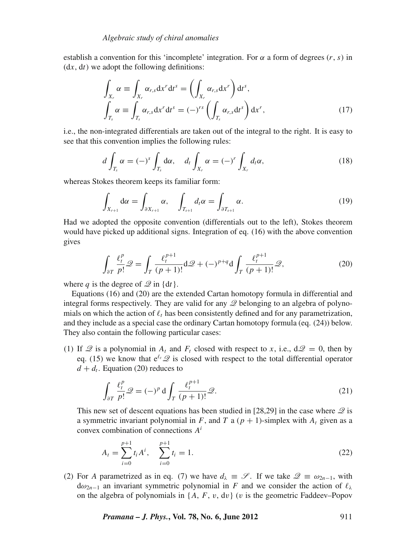establish a convention for this 'incomplete' integration. For  $\alpha$  a form of degrees  $(r, s)$  in  $(dx, dt)$  we adopt the following definitions:

$$
\int_{X_r} \alpha \equiv \int_{X_r} \alpha_{r,s} dx^r dt^s = \left( \int_{X_r} \alpha_{r,s} dx^r \right) dt^s, \n\int_{T_s} \alpha \equiv \int_{T_s} \alpha_{r,s} dx^r dt^s = (-)^{rs} \left( \int_{T_s} \alpha_{r,s} dt^s \right) dx^r,
$$
\n(17)

i.e., the non-integrated differentials are taken out of the integral to the right. It is easy to see that this convention implies the following rules:

$$
d\int_{T_s} \alpha = (-)^s \int_{T_s} d\alpha, \quad d_t \int_{X_r} \alpha = (-)^r \int_{X_r} d_t \alpha,
$$
 (18)

whereas Stokes theorem keeps its familiar form:

$$
\int_{X_{r+1}} \mathrm{d}\alpha = \int_{\partial X_{r+1}} \alpha, \quad \int_{T_{s+1}} d_t \alpha = \int_{\partial T_{s+1}} \alpha. \tag{19}
$$

Had we adopted the opposite convention (differentials out to the left), Stokes theorem would have picked up additional signs. Integration of eq. (16) with the above convention gives

$$
\int_{\partial T} \frac{\ell_t^p}{p!} \mathcal{Q} = \int_T \frac{\ell_t^{p+1}}{(p+1)!} d\mathcal{Q} + (-)^{p+q} d\int_T \frac{\ell_t^{p+1}}{(p+1)!} \mathcal{Q},\tag{20}
$$

where *q* is the degree of  $\mathcal{Q}$  in {d*t*}.

Equations (16) and (20) are the extended Cartan homotopy formula in differential and integral forms respectively. They are valid for any  $\mathscr Q$  belonging to an algebra of polynomials on which the action of  $\ell_t$  has been consistently defined and for any parametrization, and they include as a special case the ordinary Cartan homotopy formula (eq. (24)) below. They also contain the following particular cases:

(1) If  $\mathscr Q$  is a polynomial in  $A_t$  and  $F_t$  closed with respect to *x*, i.e.,  $d\mathscr Q = 0$ , then by eq. (15) we know that  $e^{\ell t}$   $\mathscr Q$  is closed with respect to the total differential operator  $d + d_t$ . Equation (20) reduces to

$$
\int_{\partial T} \frac{\ell_t^p}{p!} \mathcal{Q} = (-)^p \, \mathrm{d} \int_T \frac{\ell_t^{p+1}}{(p+1)!} \mathcal{Q}.\tag{21}
$$

This new set of descent equations has been studied in [28,29] in the case where  $\mathcal{Q}$  is a symmetric invariant polynomial in *F*, and *T* a  $(p + 1)$ -simplex with  $A_t$  given as a convex combination of connections *A<sup>i</sup>*

$$
A_t = \sum_{i=0}^{p+1} t_i A^i, \quad \sum_{i=0}^{p+1} t_i = 1.
$$
 (22)

(2) For *A* parametrized as in eq. (7) we have  $d_{\lambda} \equiv \mathcal{S}$ . If we take  $\mathcal{Q} \equiv \omega_{2n-1}$ , with  $d\omega_{2n-1}$  an invariant symmetric polynomial in *F* and we consider the action of  $\ell_{\lambda}$ on the algebra of polynomials in  $\{A, F, v, dv\}$  (*v* is the geometric Faddeev–Popov

*Pramana – J. Phys.***, Vol. 78, No. 6, June 2012** 911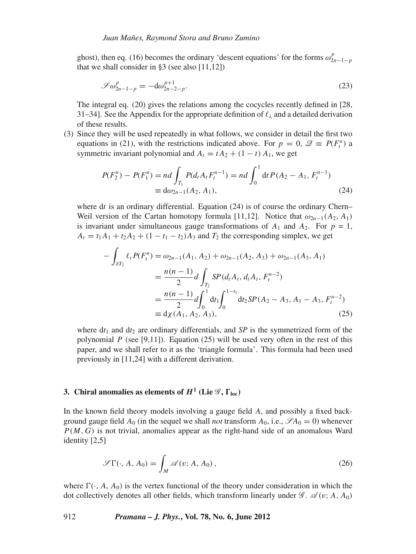ghost), then eq. (16) becomes the ordinary 'descent equations' for the forms  $\omega_{2n-1-p}^p$ that we shall consider in §3 (see also [11,12])

$$
\mathcal{S}\omega_{2n-1-p}^p = -d\omega_{2n-2-p}^{p+1}.
$$
 (23)

The integral eq. (20) gives the relations among the cocycles recently defined in [28, 31–34]. See the Appendix for the appropriate definition of  $\ell_{\lambda}$  and a detailed derivation of these results.

(3) Since they will be used repeatedly in what follows, we consider in detail the first two equations in (21), with the restrictions indicated above. For  $p = 0$ ,  $\mathcal{Q} \equiv P(F^n_t)$  a symmetric invariant polynomial and  $A_t = tA_2 + (1 - t) A_1$ , we get

$$
P(F_2^n) - P(F_1^n) = nd \int_{T_1} P(d_t A_t F_t^{n-1}) = nd \int_0^1 dt P(A_2 - A_1, F_t^{n-1})
$$
  
\n
$$
\equiv d\omega_{2n-1}(A_2, A_1),
$$
\n(24)

where dt is an ordinary differential. Equation (24) is of course the ordinary Chern– Weil version of the Cartan homotopy formula [11,12]. Notice that  $\omega_{2n-1}(A_2, A_1)$ is invariant under simultaneous gauge transformations of  $A_1$  and  $A_2$ . For  $p = 1$ ,  $A_t = t_1 A_1 + t_2 A_2 + (1 - t_1 - t_2) A_3$  and  $T_2$  the corresponding simplex, we get

$$
-\int_{\partial T_2} \ell_t P(F_t^n) = \omega_{2n-1}(A_1, A_2) + \omega_{2n-1}(A_2, A_3) + \omega_{2n-1}(A_3, A_1)
$$
  
=  $\frac{n(n-1)}{2} d \int_{T_2} SP(d_t A_t, d_t A_t, F_t^{n-2})$   
=  $\frac{n(n-1)}{2} d \int_0^1 dt_1 \int_0^{1-t_1} dt_2 SP(A_2 - A_3, A_1 - A_3, F_t^{n-2})$   
=  $d\chi(A_1, A_2, A_3)$ , (25)

where  $dt_1$  and  $dt_2$  are ordinary differentials, and *SP* is the symmetrized form of the polynomial *P* (see [9,11]). Equation (25) will be used very often in the rest of this paper, and we shall refer to it as the 'triangle formula'. This formula had been used previously in [11,24] with a different derivation.

# **3.** Chiral anomalies as elements of  $H^1$  (Lie  $\mathscr{G}, \Gamma_{\text{loc}}$ )

In the known field theory models involving a gauge field *A*, and possibly a fixed background gauge field  $A_0$  (in the sequel we shall *not* transform  $A_0$ , i.e.,  $\mathscr{S}A_0 = 0$ ) whenever *P*(*M*, *G*) is not trivial, anomalies appear as the right-hand side of an anomalous Ward identity [2,5]

$$
\mathscr{S}\Gamma(\cdot, A, A_0) = \int_M \mathscr{A}(v; A, A_0), \qquad (26)
$$

where  $\Gamma(\cdot, A, A_0)$  is the vertex functional of the theory under consideration in which the dot collectively denotes all other fields, which transform linearly under  $\mathscr{G}$ .  $\mathscr{A}(v; A, A_0)$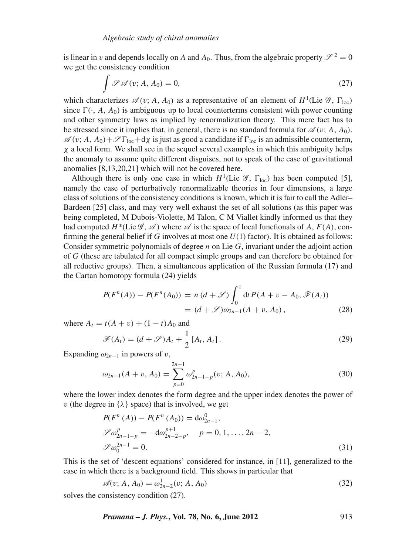is linear in v and depends locally on *A* and  $A_0$ . Thus, from the algebraic property  $\mathscr{S}^2 = 0$ we get the consistency condition

$$
\int \mathcal{L}\mathcal{A}(v; A, A_0) = 0,\tag{27}
$$

which characterizes  $\mathscr{A}(v; A, A_0)$  as a representative of an element of  $H^1$ (Lie  $\mathscr{G}, \Gamma_{\text{loc}}$ ) since  $\Gamma(\cdot, A, A_0)$  is ambiguous up to local counterterms consistent with power counting and other symmetry laws as implied by renormalization theory. This mere fact has to be stressed since it implies that, in general, there is no standard formula for  $\mathscr{A}(v; A, A_0)$ .  $\mathscr{A}(v;A,A_0)+\mathscr{S}\Gamma_{\text{loc}}+d\chi$  is just as good a candidate if  $\Gamma_{\text{loc}}$  is an admissible counterterm,  $\chi$  a local form. We shall see in the sequel several examples in which this ambiguity helps the anomaly to assume quite different disguises, not to speak of the case of gravitational anomalies [8,13,20,21] which will not be covered here.

Although there is only one case in which  $H^1$ <sup>(Lie  $\mathscr{G}$ ,  $\Gamma_{\text{loc}}$ ) has been computed [5],</sup> namely the case of perturbatively renormalizable theories in four dimensions, a large class of solutions of the consistency conditions is known, which it is fair to call the Adler– Bardeen [25] class, and may very well exhaust the set of all solutions (as this paper was being completed, M Dubois-Violette, M Talon, C M Viallet kindly informed us that they had computed  $H^*(\text{Lie } \mathcal{G}, \mathcal{A})$  where  $\mathcal{A}$  is the space of local functionals of A,  $F(A)$ , confirming the general belief if *G* involves at most one *U*(1) factor). It is obtained as follows: Consider symmetric polynomials of degree *n* on Lie *G*, invariant under the adjoint action of *G* (these are tabulated for all compact simple groups and can therefore be obtained for all reductive groups). Then, a simultaneous application of the Russian formula (17) and the Cartan homotopy formula (24) yields

$$
P(F^n(A)) - P(F^n(A_0)) = n (d + \mathcal{S}) \int_0^1 dt P(A + v - A_0, \mathcal{F}(A_t))
$$
  
=  $(d + \mathcal{S}) \omega_{2n-1}(A + v, A_0),$  (28)

where  $A_t = t(A + v) + (1 - t)A_0$  and

$$
\mathscr{F}(A_t) = (d + \mathscr{S})A_t + \frac{1}{2}[A_t, A_t].
$$
\n(29)

Expanding  $\omega_{2n-1}$  in powers of v,

$$
\omega_{2n-1}(A+v, A_0) = \sum_{p=0}^{2n-1} \omega_{2n-1-p}^p(v; A, A_0), \tag{30}
$$

where the lower index denotes the form degree and the upper index denotes the power of v (the degree in  $\{\lambda\}$  space) that is involved, we get

$$
P(F^n(A)) - P(F^n(A_0)) = d\omega_{2n-1}^0,
$$
  
\n
$$
\mathcal{S}\omega_{2n-1-p}^p = -d\omega_{2n-2-p}^{p+1}, \quad p = 0, 1, ..., 2n-2,
$$
  
\n
$$
\mathcal{S}\omega_0^{2n-1} = 0.
$$
\n(31)

This is the set of 'descent equations' considered for instance, in [11], generalized to the case in which there is a background field. This shows in particular that

$$
\mathscr{A}(v; A, A_0) = \omega_{2n-2}^1(v; A, A_0)
$$
\n(32)

solves the consistency condition (27).

*Pramana – J. Phys.***, Vol. 78, No. 6, June 2012** 913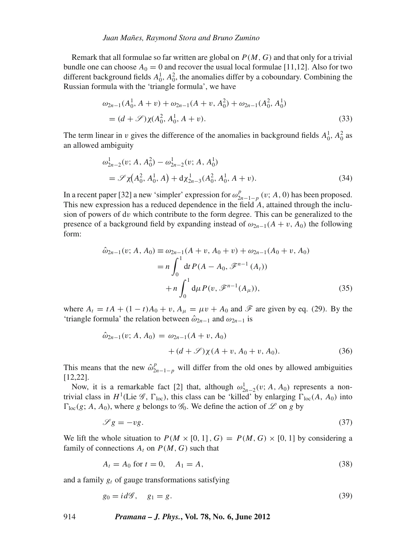Remark that all formulae so far written are global on *P*(*M*, *G*) and that only for a trivial bundle one can choose  $A_0 = 0$  and recover the usual local formulae [11,12]. Also for two different background fields  $A_0^1$ ,  $A_0^2$ , the anomalies differ by a coboundary. Combining the Russian formula with the 'triangle formula', we have

$$
\omega_{2n-1}(A_0^1, A + v) + \omega_{2n-1}(A + v, A_0^2) + \omega_{2n-1}(A_0^2, A_0^1)
$$
  
=  $(d + \mathcal{S})\chi(A_0^2, A_0^1, A + v).$  (33)

The term linear in v gives the difference of the anomalies in background fields  $A_0^1$ ,  $A_0^2$  as an allowed ambiguity

$$
\omega_{2n-2}^1(v; A, A_0^2) - \omega_{2n-2}^1(v; A, A_0^1)
$$
  
=  $\mathscr{S}_{\chi}(A_0^2, A_0^1, A) + d\chi_{2n-3}^1(A_0^2, A_0^1, A + v).$  (34)

In a recent paper [32] a new 'simpler' expression for  $\omega_{2n-1-p}^p$  (v; *A*, 0) has been proposed. This new expression has a reduced dependence in the field *A*, attained through the inclusion of powers of dv which contribute to the form degree. This can be generalized to the presence of a background field by expanding instead of  $\omega_{2n-1}(A + v, A_0)$  the following form:

$$
\hat{\omega}_{2n-1}(v; A, A_0) \equiv \omega_{2n-1}(A + v, A_0 + v) + \omega_{2n-1}(A_0 + v, A_0)
$$
  
=  $n \int_0^1 dt P(A - A_0, \mathcal{F}^{n-1}(A_t))$   
+  $n \int_0^1 d\mu P(v, \mathcal{F}^{n-1}(A_\mu)),$  (35)

where  $A_t = tA + (1 - t)A_0 + v$ ,  $A_\mu = \mu v + A_0$  and  $\mathscr F$  are given by eq. (29). By the 'triangle formula' the relation between  $\hat{\omega}_{2n-1}$  and  $\omega_{2n-1}$  is

$$
\hat{\omega}_{2n-1}(v; A, A_0) = \omega_{2n-1}(A + v, A_0) + (d + \mathcal{S})\chi(A + v, A_0 + v, A_0).
$$
 (36)

This means that the new  $\hat{\omega}_{2n-1-p}^p$  will differ from the old ones by allowed ambiguities [12,22].

Now, it is a remarkable fact [2] that, although  $\omega_{2n-2}^1(v; A, A_0)$  represents a nontrivial class in  $H^1$ (Lie  $\mathscr{G}$ ,  $\Gamma_{\text{loc}}$ ), this class can be 'killed' by enlarging  $\Gamma_{\text{loc}}(A, A_0)$  into  $\Gamma_{\text{loc}}(g; A, A_0)$ , where *g* belongs to  $\mathscr{G}_0$ . We define the action of  $\mathscr{L}$  on *g* by

$$
\mathscr{S}g = -vg.\tag{37}
$$

We lift the whole situation to  $P(M \times [0, 1], G) = P(M, G) \times [0, 1]$  by considering a family of connections  $A_t$  on  $P(M, G)$  such that

$$
A_t = A_0 \text{ for } t = 0, \quad A_1 = A,\tag{38}
$$

and a family *gt* of gauge transformations satisfying

$$
g_0 = id\mathscr{G}, \quad g_1 = g. \tag{39}
$$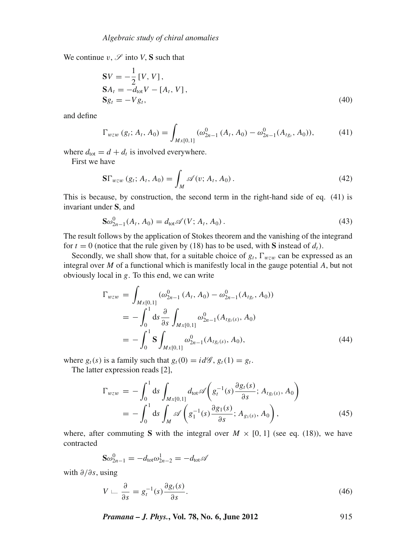We continue  $v$ ,  $\mathscr S$  into *V*, **S** such that

$$
\mathbf{S}V = -\frac{1}{2} [V, V],\n\mathbf{S}A_t = -d_{\text{tot}} V - [A_t, V],\n\mathbf{S}_{g_t} = -V g_t,
$$
\n(40)

and define

$$
\Gamma_{wzw} (g_t; A_t, A_0) = \int_{Mx[0,1]} (\omega_{2n-1}^0 (A_t, A_0) - \omega_{2n-1}^0 (A_{tg_t}, A_0)), \tag{41}
$$

where  $d_{\text{tot}} = d + d_t$  is involved everywhere.

First we have

$$
\mathbf{S}\Gamma_{wzw} (g_t; A_t, A_0) = \int_M \mathscr{A}(v; A_t, A_0).
$$
 (42)

This is because, by construction, the second term in the right-hand side of eq. (41) is invariant under **S**, and

$$
\mathbf{S}\omega_{2n-1}^{0}(A_t, A_0) = d_{\text{tot}}\mathscr{A}(V; A_t, A_0).
$$
\n(43)

The result follows by the application of Stokes theorem and the vanishing of the integrand for  $t = 0$  (notice that the rule given by (18) has to be used, with **S** instead of  $d_t$ ).

Secondly, we shall show that, for a suitable choice of  $g_t$ ,  $\Gamma_{wzw}$  can be expressed as an integral over *M* of a functional which is manifestly local in the gauge potential *A*, but not obviously local in *g*. To this end, we can write

$$
\Gamma_{wzw} = \int_{Mx[0,1]} (\omega_{2n-1}^{0} (A_t, A_0) - \omega_{2n-1}^{0} (A_{tg}, A_0))
$$
  
= 
$$
- \int_{0}^{1} ds \frac{\partial}{\partial s} \int_{Mx[0,1]} \omega_{2n-1}^{0} (A_{tg,(s)}, A_0)
$$
  
= 
$$
- \int_{0}^{1} \mathbf{S} \int_{Mx[0,1]} \omega_{2n-1}^{0} (A_{tg,(s)}, A_0),
$$
 (44)

where  $g_t(s)$  is a family such that  $g_t(0) = id\mathscr{G}, g_t(1) = g_t$ .

The latter expression reads [2],

$$
\Gamma_{wzw} = -\int_0^1 ds \int_{Mx[0,1]} d_{\text{tot}} \mathscr{A}\left(g_t^{-1}(s) \frac{\partial g_t(s)}{\partial s}; A_{tg_t(s)}, A_0\right)
$$
  
= 
$$
-\int_0^1 ds \int_M \mathscr{A}\left(g_1^{-1}(s) \frac{\partial g_1(s)}{\partial s}; A_{g_1(s)}, A_0\right),
$$
 (45)

where, after commuting **S** with the integral over  $M \times [0, 1]$  (see eq. (18)), we have contracted

$$
\mathbf{S}\omega_{2n-1}^0 = -d_{\text{tot}}\omega_{2n-2}^1 = -d_{\text{tot}}\mathscr{A}
$$

with ∂/∂*s*, using

$$
V \sqcup \frac{\partial}{\partial s} = g_t^{-1}(s) \frac{\partial g_t(s)}{\partial s}.
$$
\n(46)

*Pramana – J. Phys.***, Vol. 78, No. 6, June 2012** 915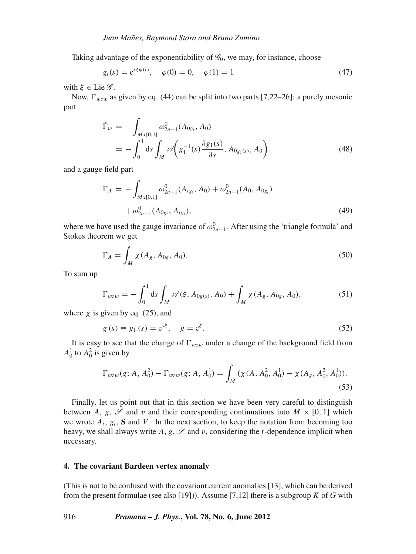Taking advantage of the exponentiability of  $\mathcal{G}_0$ , we may, for instance, choose

$$
g_t(s) = e^{s\xi \phi(t)}, \quad \varphi(0) = 0, \quad \varphi(1) = 1
$$
 (47)

with  $\xi \in \text{Lie } \mathscr{G}$ .

Now,  $\Gamma_{wzw}$  as given by eq. (44) can be split into two parts [7,22–26]: a purely mesonic part

$$
\tilde{\Gamma}_w = -\int_{Mx[0,1]} \omega_{2n-1}^0(A_{0g_t}, A_0) \n= -\int_0^1 ds \int_M \mathscr{A}\left(g_1^{-1}(s) \frac{\partial g_1(s)}{\partial s}, A_{0g_1(s)}, A_0\right)
$$
\n(48)

and a gauge field part

$$
\Gamma_A = -\int_{Mx[0,1]} \omega_{2n-1}^0(A_{tg_t}, A_0) + \omega_{2n-1}^0(A_0, A_{0g_t}) + \omega_{2n-1}^0(A_{0g_t}, A_{tg_t}), \tag{49}
$$

where we have used the gauge invariance of  $\omega_{2n-1}^0$ . After using the 'triangle formula' and Stokes theorem we get

$$
\Gamma_A = \int_M \chi(A_g, A_{0g}, A_0). \tag{50}
$$

To sum up

$$
\Gamma_{wzw} = -\int_0^1 ds \int_M \mathscr{A}(\xi, A_{0g(s)}, A_0) + \int_M \chi(A_g, A_{0g}, A_0), \tag{51}
$$

where  $\chi$  is given by eq. (25), and

$$
g(s) \equiv g_1(s) = e^{s\xi}, \quad g = e^{\xi}.
$$
 (52)

It is easy to see that the change of  $\Gamma_{wzw}$  under a change of the background field from  $A_0^1$  to  $A_0^2$  is given by

$$
\Gamma_{wzw}(g; A, A_0^2) - \Gamma_{wzw}(g; A, A_0^1) = \int_M (\chi(A, A_0^2, A_0^1) - \chi(A_g, A_0^2, A_0^1)).
$$
\n(53)

Finally, let us point out that in this section we have been very careful to distinguish between *A*, *g*,  $\mathscr S$  and *v* and their corresponding continuations into  $M \times [0, 1]$  which we wrote  $A_t$ ,  $g_t$ , **S** and *V*. In the next section, to keep the notation from becoming too heavy, we shall always write  $A$ ,  $g$ ,  $\mathscr S$  and  $v$ , considering the  $t$ -dependence implicit when necessary.

#### **4. The covariant Bardeen vertex anomaly**

(This is not to be confused with the covariant current anomalies [13], which can be derived from the present formulae (see also [19])). Assume [7,12] there is a subgroup *K* of *G* with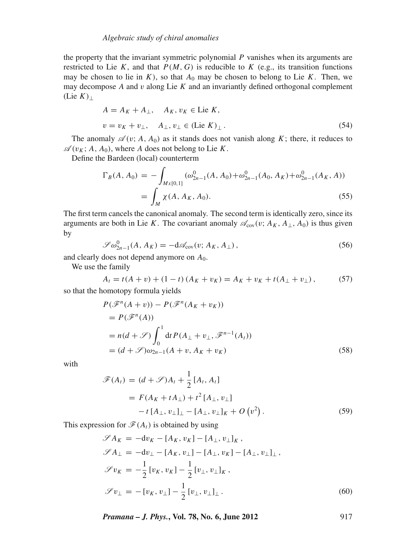#### *Algebraic study of chiral anomalies*

the property that the invariant symmetric polynomial *P* vanishes when its arguments are restricted to Lie K, and that  $P(M, G)$  is reducible to K (e.g., its transition functions may be chosen to lie in  $K$ ), so that  $A_0$  may be chosen to belong to Lie  $K$ . Then, we may decompose *A* and v along Lie *K* and an invariantly defined orthogonal complement  $(Lie K<sub>⊥</sub>)$ 

$$
A = A_K + A_{\perp}, \quad A_K, v_K \in \text{Lie } K,
$$
  

$$
v = v_K + v_{\perp}, \quad A_{\perp}, v_{\perp} \in (\text{Lie } K)_{\perp}.
$$
 (54)

The anomaly  $\mathscr{A}(v; A, A_0)$  as it stands does not vanish along *K*; there, it reduces to  $\mathscr{A}(v_K; A, A_0)$ , where *A* does not belong to Lie *K*.

Define the Bardeen (local) counterterm

$$
\Gamma_B(A, A_0) = -\int_{Mx[0,1]} (\omega_{2n-1}^0(A, A_0) + \omega_{2n-1}^0(A_0, A_K) + \omega_{2n-1}^0(A_K, A))
$$
  
= 
$$
\int_M \chi(A, A_K, A_0).
$$
 (55)

The first term cancels the canonical anomaly. The second term is identically zero, since its arguments are both in Lie *K*. The covariant anomaly  $\mathscr{A}_{cov}(v; A_K, A_\perp, A_0)$  is thus given by

$$
\mathscr{S}\omega_{2n-1}^{0}(A, A_K) = -\mathrm{d}\mathscr{A}_{\text{cov}}(v; A_K, A_\perp),\tag{56}
$$

and clearly does not depend anymore on *A*0.

We use the family

$$
A_t = t(A + v) + (1 - t) (A_K + v_K) = A_K + v_K + t(A_{\perp} + v_{\perp}), \tag{57}
$$

so that the homotopy formula yields

$$
P(\mathcal{F}^{n}(A + v)) - P(\mathcal{F}^{n}(A_{K} + v_{K}))
$$
  
=  $P(\mathcal{F}^{n}(A))$   
=  $n(d + \mathcal{S}) \int_{0}^{1} dt P(A_{\perp} + v_{\perp}, \mathcal{F}^{n-1}(A_{t}))$   
=  $(d + \mathcal{S})\omega_{2n-1}(A + v, A_{K} + v_{K})$  (58)

with

$$
\mathcal{F}(A_t) = (d + \mathcal{S})A_t + \frac{1}{2}[A_t, A_t]
$$
  
=  $F(A_K + tA_{\perp}) + t^2[A_{\perp}, v_{\perp}]$   
-  $t[A_{\perp}, v_{\perp}]_{\perp} - [A_{\perp}, v_{\perp}]_K + O(v^2)$ . (59)

This expression for  $\mathcal{F}(A_t)$  is obtained by using

$$
\mathscr{S}A_{K} = -\mathbf{d}v_{K} - [A_{K}, v_{K}] - [A_{\perp}, v_{\perp}]_{K},
$$
  
\n
$$
\mathscr{S}A_{\perp} = -\mathbf{d}v_{\perp} - [A_{K}, v_{\perp}] - [A_{\perp}, v_{K}] - [A_{\perp}, v_{\perp}]_{\perp},
$$
  
\n
$$
\mathscr{S}v_{K} = -\frac{1}{2} [v_{K}, v_{K}] - \frac{1}{2} [v_{\perp}, v_{\perp}]_{K},
$$
  
\n
$$
\mathscr{S}v_{\perp} = -[v_{K}, v_{\perp}] - \frac{1}{2} [v_{\perp}, v_{\perp}]_{\perp}.
$$
\n(60)

*Pramana – J. Phys.***, Vol. 78, No. 6, June 2012** 917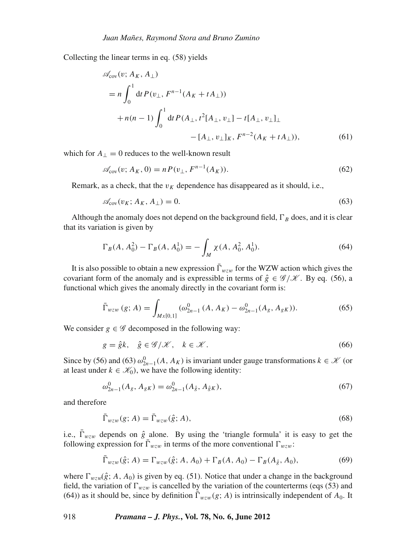Collecting the linear terms in eq. (58) yields

$$
\mathscr{A}_{cov}(v; A_K, A_\perp)
$$
\n
$$
= n \int_0^1 dt P(v_\perp, F^{n-1}(A_K + t A_\perp))
$$
\n
$$
+ n(n-1) \int_0^1 dt P(A_\perp, t^2[A_\perp, v_\perp] - t[A_\perp, v_\perp]_\perp
$$
\n
$$
- [A_\perp, v_\perp]_K, F^{n-2}(A_K + t A_\perp)), \tag{61}
$$

which for  $A_{\perp} = 0$  reduces to the well-known result

$$
\mathscr{A}_{\text{cov}}(v; A_K, 0) = n P(v_\perp, F^{n-1}(A_K)).
$$
\n(62)

Remark, as a check, that the  $v_K$  dependence has disappeared as it should, i.e.,

$$
\mathcal{A}_{\text{cov}}(v_K; A_K, A_\perp) = 0. \tag{63}
$$

Although the anomaly does not depend on the background field,  $\Gamma_B$  does, and it is clear that its variation is given by

$$
\Gamma_B(A, A_0^2) - \Gamma_B(A, A_0^1) = -\int_M \chi(A, A_0^2, A_0^1). \tag{64}
$$

It is also possible to obtain a new expression  $\bar{\Gamma}_{wzw}$  for the WZW action which gives the covariant form of the anomaly and is expressible in terms of  $\hat{g} \in \mathcal{G}/\mathcal{K}$ . By eq. (56), a functional which gives the anomaly directly in the covariant form is:

$$
\bar{\Gamma}_{wzw} (g; A) = \int_{Mx[0,1]} (\omega_{2n-1}^0 (A, A_K) - \omega_{2n-1}^0 (A_g, A_{gK})).
$$
 (65)

We consider  $g \in \mathscr{G}$  decomposed in the following way:

$$
g = \hat{g}k, \quad \hat{g} \in \mathcal{G}/\mathcal{K}, \quad k \in \mathcal{K}.
$$

Since by (56) and (63)  $\omega_{2n-1}^0(A, A_K)$  is invariant under gauge transformations  $k \in \mathcal{K}$  (or at least under  $k \in \mathcal{K}_0$ , we have the following identity:

$$
\omega_{2n-1}^0(A_g, A_{gK}) = \omega_{2n-1}^0(A_{\hat{g}}, A_{\hat{g}K}),
$$
\n(67)

and therefore

$$
\bar{\Gamma}_{wzw}(g;A) = \bar{\Gamma}_{wzw}(\hat{g};A),\tag{68}
$$

i.e.,  $\bar{\Gamma}_{wzw}$  depends on  $\hat{g}$  alone. By using the 'triangle formula' it is easy to get the following expression for  $\bar{\Gamma}_{wzw}$  in terms of the more conventional  $\Gamma_{wzw}$ :

$$
\bar{\Gamma}_{wzw}(\hat{g};A) = \Gamma_{wzw}(\hat{g};A,A_0) + \Gamma_B(A,A_0) - \Gamma_B(A_{\hat{g}},A_0),
$$
\n(69)

where  $\Gamma_{wzw}(\hat{g}; A, A_0)$  is given by eq. (51). Notice that under a change in the background field, the variation of  $\Gamma_{wzw}$  is cancelled by the variation of the counterterms (eqs (53) and (64)) as it should be, since by definition  $\overline{\Gamma}_{wzw}(g;A)$  is intrinsically independent of  $A_0$ . It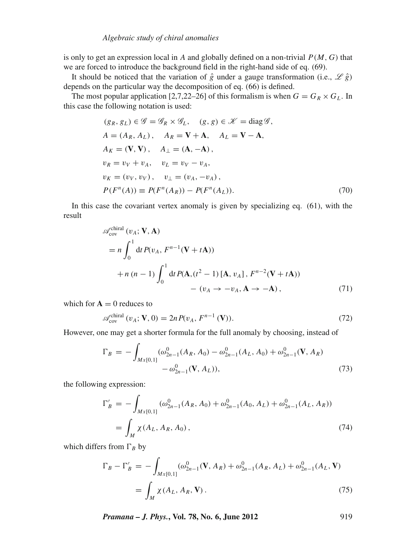is only to get an expression local in *A* and globally defined on a non-trivial  $P(M, G)$  that we are forced to introduce the background field in the right-hand side of eq. (69).

It should be noticed that the variation of  $\hat{g}$  under a gauge transformation (i.e.,  $\mathscr{L}\hat{g}$ ) depends on the particular way the decomposition of eq. (66) is defined.

The most popular application [2,7,22–26] of this formalism is when  $G = G_R \times G_L$ . In this case the following notation is used:

$$
(g_R, g_L) \in \mathcal{G} = \mathcal{G}_R \times \mathcal{G}_L, \quad (g, g) \in \mathcal{K} = \text{diag}\,\mathcal{G},
$$
  
\n
$$
A = (A_R, A_L), \quad A_R = \mathbf{V} + \mathbf{A}, \quad A_L = \mathbf{V} - \mathbf{A},
$$
  
\n
$$
A_K = (\mathbf{V}, \mathbf{V}), \quad A_\perp = (\mathbf{A}, -\mathbf{A}),
$$
  
\n
$$
v_R = v_V + v_A, \quad v_L = v_V - v_A,
$$
  
\n
$$
v_K = (v_V, v_V), \quad v_\perp = (v_A, -v_A),
$$
  
\n
$$
P(F^n(A)) \equiv P(F^n(A_R)) - P(F^n(A_L)).
$$
\n(70)

In this case the covariant vertex anomaly is given by specializing eq. (61), with the result

$$
\mathscr{A}_{\text{cov}}^{\text{chiral}}(v_A; \mathbf{V}, \mathbf{A})
$$
\n
$$
= n \int_0^1 \mathrm{d}t P(v_A, F^{n-1}(\mathbf{V} + t\mathbf{A}))
$$
\n
$$
+ n (n - 1) \int_0^1 \mathrm{d}t P(\mathbf{A}, (t^2 - 1) [\mathbf{A}, v_A], F^{n-2}(\mathbf{V} + t\mathbf{A}))
$$
\n
$$
- (v_A \to -v_A, \mathbf{A} \to -\mathbf{A}), \qquad (71)
$$

which for  $A = 0$  reduces to

$$
\mathcal{A}_{\text{cov}}^{\text{chiral}}\left(v_A; \mathbf{V}, 0\right) = 2n P(v_A, F^{n-1}\left(\mathbf{V}\right)).\tag{72}
$$

However, one may get a shorter formula for the full anomaly by choosing, instead of

$$
\Gamma_B = -\int_{Mx[0,1]} (\omega_{2n-1}^0(A_R, A_0) - \omega_{2n-1}^0(A_L, A_0) + \omega_{2n-1}^0(\mathbf{V}, A_R) - \omega_{2n-1}^0(\mathbf{V}, A_L)), \tag{73}
$$

the following expression:

$$
\Gamma'_{B} = -\int_{Mx[0,1]} (\omega_{2n-1}^{0}(A_R, A_0) + \omega_{2n-1}^{0}(A_0, A_L) + \omega_{2n-1}^{0}(A_L, A_R))
$$
  
= 
$$
\int_{M} \chi(A_L, A_R, A_0),
$$
 (74)

which differs from  $\Gamma_B$  by

$$
\Gamma_B - \Gamma'_B = -\int_{Mx[0,1]} (\omega_{2n-1}^0(\mathbf{V}, A_R) + \omega_{2n-1}^0(A_R, A_L) + \omega_{2n-1}^0(A_L, \mathbf{V})
$$
  
= 
$$
\int_M \chi(A_L, A_R, \mathbf{V}).
$$
 (75)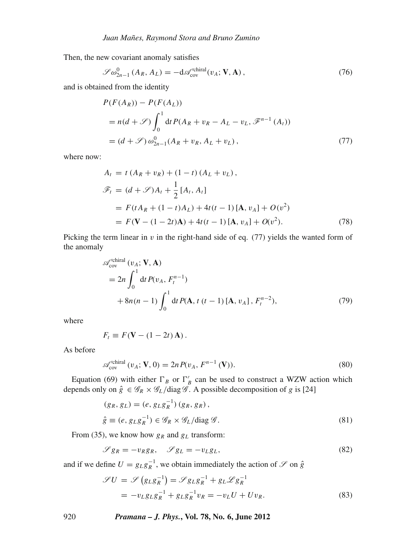Then, the new covariant anomaly satisfies

$$
\mathscr{S}\omega_{2n-1}^{0}\left(A_{R}, A_{L}\right) = -\mathrm{d}\mathscr{A}_{\text{cov}}^{\text{chiral}}\left(v_{A}; \mathbf{V}, \mathbf{A}\right),\tag{76}
$$

and is obtained from the identity

$$
P(F(A_R)) - P(F(A_L))
$$
  
=  $n(d + \mathscr{S}) \int_0^1 dt P(A_R + v_R - A_L - v_L, \mathscr{F}^{n-1}(A_t))$   
=  $(d + \mathscr{S}) \omega_{2n-1}^0 (A_R + v_R, A_L + v_L),$  (77)

where now:

$$
A_{t} = t (A_{R} + v_{R}) + (1 - t) (A_{L} + v_{L}),
$$
  
\n
$$
\mathcal{F}_{t} = (d + \mathcal{S}) A_{t} + \frac{1}{2} [A_{t}, A_{t}]
$$
  
\n
$$
= F(t A_{R} + (1 - t) A_{L}) + 4t(t - 1) [A, v_{A}] + O(v^{2})
$$
  
\n
$$
= F(\mathbf{V} - (1 - 2t) \mathbf{A}) + 4t(t - 1) [A, v_{A}] + O(v^{2}).
$$
\n(78)

Picking the term linear in  $v$  in the right-hand side of eq. (77) yields the wanted form of the anomaly

$$
\mathscr{A}_{cov}^{\text{chiral}}(v_A; \mathbf{V}, \mathbf{A})
$$
  
=  $2n \int_0^1 dt P(v_A, F_t^{n-1})$   
+  $8n(n-1) \int_0^1 dt P(\mathbf{A}, t (t-1) [\mathbf{A}, v_A], F_t^{n-2}),$  (79)

where

$$
F_t \equiv F(\mathbf{V} - (1 - 2t)\,\mathbf{A})\,.
$$

As before

$$
\mathcal{A}_{\text{cov}}^{\prime \text{chiral}}\left(v_A; \mathbf{V}, 0\right) = 2n P(v_A, F^{n-1}\left(\mathbf{V}\right)).\tag{80}
$$

Equation (69) with either  $\Gamma_B$  or  $\Gamma'_B$  can be used to construct a WZW action which depends only on  $\hat{g} \in \mathscr{G}_R \times \mathscr{G}_L / \text{diag } \mathscr{G}$ . A possible decomposition of *g* is [24]

$$
(g_R, g_L) = (e, g_L g_R^{-1}) (g_R, g_R),
$$
  
\n
$$
\hat{g} \equiv (e, g_L g_R^{-1}) \in \mathcal{G}_R \times \mathcal{G}_L / \text{diag } \mathcal{G}.
$$
\n(81)

From (35), we know how  $g_R$  and  $g_L$  transform:

$$
\mathscr{S}g_R = -v_R g_R, \quad \mathscr{S}g_L = -v_L g_L,\tag{82}
$$

and if we define  $U = g_L g_R^{-1}$ , we obtain immediately the action of  $\mathscr S$  on  $\hat g$ 

$$
\mathcal{J}U = \mathcal{S}\left(g_L g_R^{-1}\right) = \mathcal{S}g_L g_R^{-1} + g_L \mathcal{L} g_R^{-1}
$$

$$
= -v_L g_L g_R^{-1} + g_L g_R^{-1} v_R = -v_L U + U v_R. \tag{83}
$$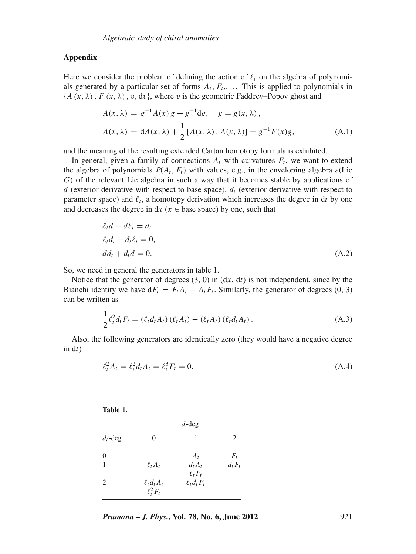## **Appendix**

Here we consider the problem of defining the action of  $\ell_t$  on the algebra of polynomials generated by a particular set of forms  $A_t$ ,  $F_t$ ,.... This is applied to polynomials in  ${A(x, \lambda), F(x, \lambda), v, dv}$ , where v is the geometric Faddeev–Popov ghost and

$$
A(x, \lambda) = g^{-1}A(x)g + g^{-1}dg, \quad g = g(x, \lambda),
$$
  
\n
$$
A(x, \lambda) = dA(x, \lambda) + \frac{1}{2}[A(x, \lambda), A(x, \lambda)] = g^{-1}F(x)g,
$$
\n(A.1)

and the meaning of the resulting extended Cartan homotopy formula is exhibited.

In general, given a family of connections  $A_t$  with curvatures  $F_t$ , we want to extend the algebra of polynomials  $P(A_t, F_t)$  with values, e.g., in the enveloping algebra  $\varepsilon$ (Lie *G*) of the relevant Lie algebra in such a way that it becomes stable by applications of *d* (exterior derivative with respect to base space),  $d_t$  (exterior derivative with respect to parameter space) and  $\ell_t$ , a homotopy derivation which increases the degree in dt by one and decreases the degree in  $dx$  ( $x \in base$  space) by one, such that

$$
\ell_t d - d\ell_t = d_t,
$$
  
\n
$$
\ell_t d_t - d_t \ell_t = 0,
$$
  
\n
$$
d d_t + d_t d = 0.
$$
\n(A.2)

So, we need in general the generators in table 1.

Notice that the generator of degrees (3, 0) in (d*x*, d*t*) is not independent, since by the Bianchi identity we have  $dF_t = F_t A_t - A_t F_t$ . Similarly, the generator of degrees (0, 3) can be written as

$$
\frac{1}{2}\ell_t^2 d_t F_t = (\ell_t d_t A_t) (\ell_t A_t) - (\ell_t A_t) (\ell_t d_t A_t).
$$
\n(A.3)

Also, the following generators are identically zero (they would have a negative degree in d*t*)

$$
\ell_t^2 A_t = \ell_t^2 d_t A_t = \ell_t^3 F_t = 0.
$$
\n(A.4)

| ۰,<br>۰.<br>×<br>v |  |
|--------------------|--|
|--------------------|--|

| $d_t$ -deg | $d$ -deg                           |                                        |           |
|------------|------------------------------------|----------------------------------------|-----------|
|            | 0                                  | 1                                      | 2         |
| $\Omega$   |                                    | $A_t$                                  | $F_t$     |
| 1          | $\ell_t A_t$                       | $d_t A_t$<br>$\ell$ <sub>t</sub> $F_t$ | $d_t F_t$ |
| 2          | $\ell_t d_t A_t$<br>$\ell_t^2 F_t$ | $\ell_t d_t F_t$                       |           |

*Pramana – J. Phys.***, Vol. 78, No. 6, June 2012** 921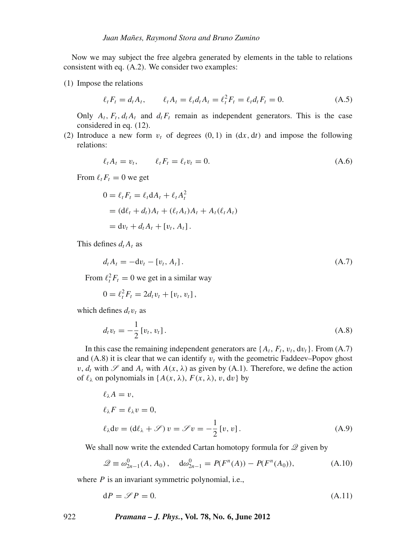Now we may subject the free algebra generated by elements in the table to relations consistent with eq. (A.2). We consider two examples:

(1) Impose the relations

$$
\ell_t F_t = d_t A_t, \qquad \ell_t A_t = \ell_t d_t A_t = \ell_t^2 F_t = \ell_t d_t F_t = 0. \tag{A.5}
$$

Only  $A_t$ ,  $F_t$ ,  $d_t A_t$  and  $d_t F_t$  remain as independent generators. This is the case considered in eq. (12).

(2) Introduce a new form  $v_t$  of degrees (0, 1) in  $(dx, dt)$  and impose the following relations:

$$
\ell_t A_t = v_t, \qquad \ell_t F_t = \ell_t v_t = 0. \tag{A.6}
$$

From  $\ell_t F_t = 0$  we get

$$
0 = \ell_t F_t = \ell_t dA_t + \ell_t A_t^2
$$
  
=  $(d\ell_t + d_t)A_t + (\ell_t A_t)A_t + A_t(\ell_t A_t)$   
=  $dv_t + d_t A_t + [v_t, A_t].$ 

This defines  $d_t A_t$  as

$$
d_t A_t = -d v_t - [v_t, A_t].
$$
 (A.7)

From  $\ell_t^2 F_t = 0$  we get in a similar way

 $0 = \ell_t^2 F_t = 2d_t v_t + [v_t, v_t],$ 

which defines  $d_t v_t$  as

$$
d_t v_t = -\frac{1}{2} [v_t, v_t].
$$
\n(A.8)

In this case the remaining independent generators are  $\{A_t, F_t, v_t, dv_t\}$ . From  $(A.7)$ and  $(A.8)$  it is clear that we can identify  $v_t$  with the geometric Faddeev–Popov ghost  $v, d_t$  with  $\mathscr S$  and  $A_t$  with  $A(x, \lambda)$  as given by (A.1). Therefore, we define the action of  $\ell_{\lambda}$  on polynomials in { $A(x, \lambda)$ ,  $F(x, \lambda)$ ,  $v$ , dv} by

$$
\ell_{\lambda} A = v,
$$
  
\n
$$
\ell_{\lambda} F = \ell_{\lambda} v = 0,
$$
  
\n
$$
\ell_{\lambda} dv = (d\ell_{\lambda} + \mathscr{S}) v = \mathscr{S} v = -\frac{1}{2} [v, v].
$$
  
\n(A.9)

We shall now write the extended Cartan homotopy formula for  $\mathcal Q$  given by

$$
\mathcal{Q} \equiv \omega_{2n-1}^0(A, A_0), \quad d\omega_{2n-1}^0 = P(F^n(A)) - P(F^n(A_0)), \tag{A.10}
$$

where *P* is an invariant symmetric polynomial, i.e.,

$$
dP = \mathcal{S}P = 0. \tag{A.11}
$$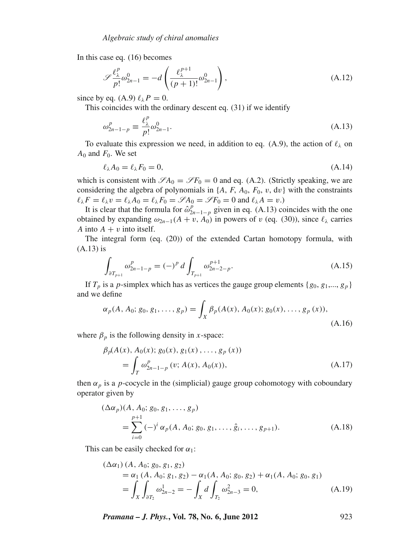In this case eq. (16) becomes

$$
\mathscr{S}\frac{\ell_{\lambda}^{p}}{p!}\omega_{2n-1}^{0} = -d\left(\frac{\ell_{\lambda}^{p+1}}{(p+1)!}\omega_{2n-1}^{0}\right),\tag{A.12}
$$

since by eq. (A.9)  $\ell_{\lambda}P = 0$ .

This coincides with the ordinary descent eq. (31) if we identify

$$
\omega_{2n-1-p}^p \equiv \frac{\ell_\lambda^p}{p!} \omega_{2n-1}^0.
$$
\n(A.13)

To evaluate this expression we need, in addition to eq. (A.9), the action of  $\ell_{\lambda}$  on  $A_0$  and  $F_0$ . We set

$$
\ell_{\lambda} A_0 = \ell_{\lambda} F_0 = 0, \tag{A.14}
$$

which is consistent with  $\mathscr{S}A_0 = \mathscr{S}F_0 = 0$  and eq. (A.2). (Strictly speaking, we are considering the algebra of polynomials in  $\{A, F, A_0, F_0, v, dv\}$  with the constraints  $\ell_{\lambda}F = \ell_{\lambda}v = \ell_{\lambda}A_0 = \ell_{\lambda}F_0 = \mathscr{S}A_0 = \mathscr{S}F_0 = 0$  and  $\ell_{\lambda}A = v.$ )

It is clear that the formula for  $\hat{\omega}_{2n-1-p}^p$  given in eq. (A.13) coincides with the one obtained by expanding  $\omega_{2n-1}(A + v, A_0)$  in powers of v (eq. (30)), since  $\ell_{\lambda}$  carries *A* into  $A + v$  into itself.

The integral form (eq. (20)) of the extended Cartan homotopy formula, with (A.13) is

$$
\int_{\partial T_{p+1}} \omega_{2n-1-p}^p = (-)^p d \int_{T_{p+1}} \omega_{2n-2-p}^{p+1}.
$$
\n(A.15)

If  $T_p$  is a *p*-simplex which has as vertices the gauge group elements  $\{g_0, g_1, \ldots, g_p\}$ and we define

$$
\alpha_p(A, A_0; g_0, g_1, \dots, g_p) = \int_X \beta_p(A(x), A_0(x); g_0(x), \dots, g_p(x)),
$$
\n(A.16)

where  $\beta_p$  is the following density in *x*-space:

$$
\beta_p(A(x), A_0(x); g_0(x), g_1(x), \dots, g_p(x))
$$
  
= 
$$
\int_T \omega_{2n-1-p}^p (v; A(x), A_0(x)),
$$
 (A.17)

then  $\alpha_p$  is a *p*-cocycle in the (simplicial) gauge group cohomotogy with coboundary operator given by

$$
(\Delta \alpha_p)(A, A_0; g_0, g_1, \dots, g_p)
$$
  
= 
$$
\sum_{i=0}^{p+1} (-)^i \alpha_p(A, A_0; g_0, g_1, \dots, \hat{g}_i, \dots, g_{p+1}).
$$
 (A.18)

This can be easily checked for  $\alpha_1$ :

$$
(\Delta \alpha_1) (A, A_0; g_0, g_1, g_2)
$$
  
=  $\alpha_1 (A, A_0; g_1, g_2) - \alpha_1 (A, A_0; g_0, g_2) + \alpha_1 (A, A_0; g_0, g_1)$   
=  $\int_X \int_{\partial T_2} \omega_{2n-2}^1 = - \int_X d \int_{T_2} \omega_{2n-3}^2 = 0,$  (A.19)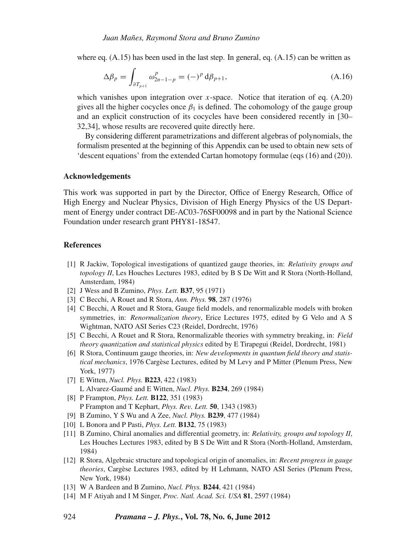where eq.  $(A.15)$  has been used in the last step. In general, eq.  $(A.15)$  can be written as

$$
\Delta \beta_p = \int_{\partial T_{p+1}} \omega_{2n-1-p}^p = (-)^p \, d\beta_{p+1},\tag{A.16}
$$

which vanishes upon integration over *x*-space. Notice that iteration of eq. (A.20) gives all the higher cocycles once  $\beta_1$  is defined. The cohomology of the gauge group and an explicit construction of its cocycles have been considered recently in [30– 32,34], whose results are recovered quite directly here.

By considering different parametrizations and different algebras of polynomials, the formalism presented at the beginning of this Appendix can be used to obtain new sets of 'descent equations' from the extended Cartan homotopy formulae (eqs (16) and (20)).

#### **Acknowledgements**

This work was supported in part by the Director, Office of Energy Research, Office of High Energy and Nuclear Physics, Division of High Energy Physics of the US Department of Energy under contract DE-AC03-76SF00098 and in part by the National Science Foundation under research grant PHY81-18547.

#### **References**

- [1] R Jackiw, Topological investigations of quantized gauge theories, in: *Relati*v*ity groups and topology II*, Les Houches Lectures 1983, edited by B S De Witt and R Stora (North-Holland, Amsterdam, 1984)
- [2] J Wess and B Zumino, *Phys. Lett.* **B37**, 95 (1971)
- [3] C Becchi, A Rouet and R Stora, *Ann. Phys.* **98**, 287 (1976)
- [4] C Becchi, A Rouet and R Stora, Gauge field models, and renormalizable models with broken symmetries, in: *Renormalization theory*, Erice Lectures 1975, edited by G Velo and A S Wightman, NATO ASI Series C23 (Reidel, Dordrecht, 1976)
- [5] C Becchi, A Rouet and R Stora, Renormalizable theories with symmetry breaking, in: *Field theory quantization and statistical physics* edited by E Tirapegui (Reidel, Dordrecht, 1981)
- [6] R Stora, Continuum gauge theories, in: *New de*v*elopments in quantum field theory and statistical mechanics*, 1976 Cargèse Lectures, edited by M Levy and P Mitter (Plenum Press, New York, 1977)
- [7] E Witten, *Nucl. Phys.* **B223**, 422 (1983) L Alvarez-Gaumé and E Witten, *Nucl. Phys.* **B234**, 269 (1984)
- [8] P Frampton, *Phys. Lett.* **B122**, 351 (1983) P Frampton and T Kephart, *Phys. Re*v*. Lett.* **50**, 1343 (1983)
- [9] B Zumino, Y S Wu and A Zee, *Nucl. Phys.* **B239**, 477 (1984)
- [10] L Bonora and P Pasti, *Phys. Lett.* **B132**, 75 (1983)
- [11] B Zumino, Chiral anomalies and differential geometry, in: *Relati*v*ity, groups and topology II*, Les Houches Lectures 1983, edited by B S De Witt and R Stora (North-Holland, Amsterdam, 1984)
- [12] R Stora, Algebraic structure and topological origin of anomalies, in: *Recent progress in gauge theories*, Cargèse Lectures 1983, edited by H Lehmann, NATO ASI Series (Plenum Press, New York, 1984)
- [13] W A Bardeen and B Zumino, *Nucl. Phys.* **B244**, 421 (1984)
- [14] M F Atiyah and I M Singer, *Proc. Natl. Acad. Sci. USA* **81**, 2597 (1984)